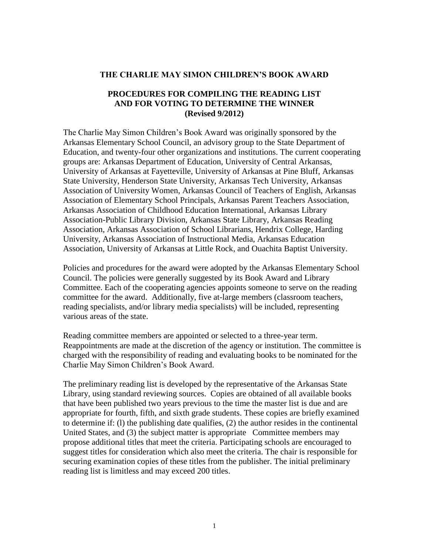#### **THE CHARLIE MAY SIMON CHILDREN'S BOOK AWARD**

#### **PROCEDURES FOR COMPILING THE READING LIST AND FOR VOTING TO DETERMINE THE WINNER (Revised 9/2012)**

The Charlie May Simon Children's Book Award was originally sponsored by the Arkansas Elementary School Council, an advisory group to the State Department of Education, and twenty-four other organizations and institutions. The current cooperating groups are: Arkansas Department of Education, University of Central Arkansas, University of Arkansas at Fayetteville, University of Arkansas at Pine Bluff, Arkansas State University, Henderson State University, Arkansas Tech University, Arkansas Association of University Women, Arkansas Council of Teachers of English, Arkansas Association of Elementary School Principals, Arkansas Parent Teachers Association, Arkansas Association of Childhood Education International, Arkansas Library Association-Public Library Division, Arkansas State Library, Arkansas Reading Association, Arkansas Association of School Librarians, Hendrix College, Harding University, Arkansas Association of Instructional Media, Arkansas Education Association, University of Arkansas at Little Rock, and Ouachita Baptist University.

Policies and procedures for the award were adopted by the Arkansas Elementary School Council. The policies were generally suggested by its Book Award and Library Committee. Each of the cooperating agencies appoints someone to serve on the reading committee for the award. Additionally, five at-large members (classroom teachers, reading specialists, and/or library media specialists) will be included, representing various areas of the state.

Reading committee members are appointed or selected to a three-year term. Reappointments are made at the discretion of the agency or institution. The committee is charged with the responsibility of reading and evaluating books to be nominated for the Charlie May Simon Children's Book Award.

The preliminary reading list is developed by the representative of the Arkansas State Library, using standard reviewing sources. Copies are obtained of all available books that have been published two years previous to the time the master list is due and are appropriate for fourth, fifth, and sixth grade students. These copies are briefly examined to determine if: (l) the publishing date qualifies, (2) the author resides in the continental United States, and (3) the subject matter is appropriate Committee members may propose additional titles that meet the criteria. Participating schools are encouraged to suggest titles for consideration which also meet the criteria. The chair is responsible for securing examination copies of these titles from the publisher. The initial preliminary reading list is limitless and may exceed 200 titles.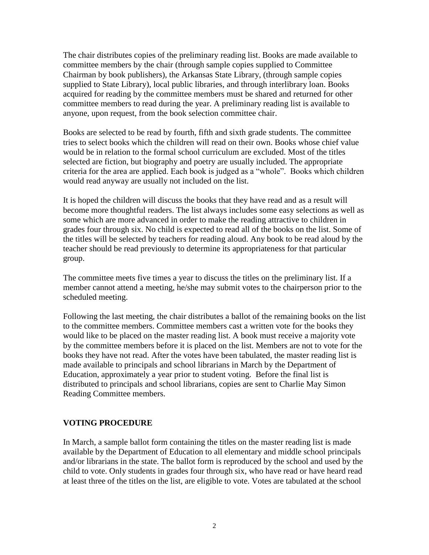The chair distributes copies of the preliminary reading list. Books are made available to committee members by the chair (through sample copies supplied to Committee Chairman by book publishers), the Arkansas State Library, (through sample copies supplied to State Library), local public libraries, and through interlibrary loan. Books acquired for reading by the committee members must be shared and returned for other committee members to read during the year. A preliminary reading list is available to anyone, upon request, from the book selection committee chair.

Books are selected to be read by fourth, fifth and sixth grade students. The committee tries to select books which the children will read on their own. Books whose chief value would be in relation to the formal school curriculum are excluded. Most of the titles selected are fiction, but biography and poetry are usually included. The appropriate criteria for the area are applied. Each book is judged as a "whole". Books which children would read anyway are usually not included on the list.

It is hoped the children will discuss the books that they have read and as a result will become more thoughtful readers. The list always includes some easy selections as well as some which are more advanced in order to make the reading attractive to children in grades four through six. No child is expected to read all of the books on the list. Some of the titles will be selected by teachers for reading aloud. Any book to be read aloud by the teacher should be read previously to determine its appropriateness for that particular group.

The committee meets five times a year to discuss the titles on the preliminary list. If a member cannot attend a meeting, he/she may submit votes to the chairperson prior to the scheduled meeting.

Following the last meeting, the chair distributes a ballot of the remaining books on the list to the committee members. Committee members cast a written vote for the books they would like to be placed on the master reading list. A book must receive a majority vote by the committee members before it is placed on the list. Members are not to vote for the books they have not read. After the votes have been tabulated, the master reading list is made available to principals and school librarians in March by the Department of Education, approximately a year prior to student voting. Before the final list is distributed to principals and school librarians, copies are sent to Charlie May Simon Reading Committee members.

#### **VOTING PROCEDURE**

In March, a sample ballot form containing the titles on the master reading list is made available by the Department of Education to all elementary and middle school principals and/or librarians in the state. The ballot form is reproduced by the school and used by the child to vote. Only students in grades four through six, who have read or have heard read at least three of the titles on the list, are eligible to vote. Votes are tabulated at the school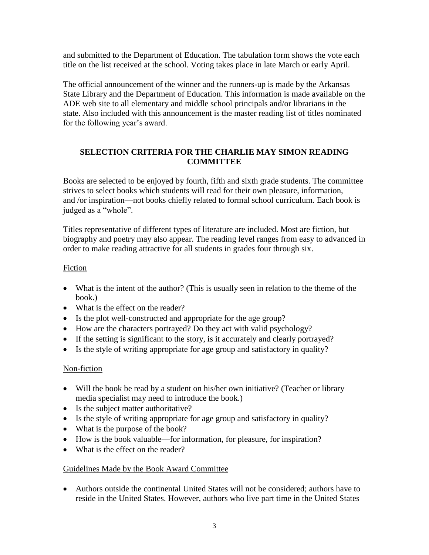and submitted to the Department of Education. The tabulation form shows the vote each title on the list received at the school. Voting takes place in late March or early April.

The official announcement of the winner and the runners-up is made by the Arkansas State Library and the Department of Education. This information is made available on the ADE web site to all elementary and middle school principals and/or librarians in the state. Also included with this announcement is the master reading list of titles nominated for the following year's award.

# **SELECTION CRITERIA FOR THE CHARLIE MAY SIMON READING COMMITTEE**

Books are selected to be enjoyed by fourth, fifth and sixth grade students. The committee strives to select books which students will read for their own pleasure, information, and /or inspiration—not books chiefly related to formal school curriculum. Each book is judged as a "whole".

Titles representative of different types of literature are included. Most are fiction, but biography and poetry may also appear. The reading level ranges from easy to advanced in order to make reading attractive for all students in grades four through six.

# Fiction

- What is the intent of the author? (This is usually seen in relation to the theme of the book.)
- What is the effect on the reader?
- Is the plot well-constructed and appropriate for the age group?
- How are the characters portrayed? Do they act with valid psychology?
- If the setting is significant to the story, is it accurately and clearly portrayed?
- Is the style of writing appropriate for age group and satisfactory in quality?

# Non-fiction

- Will the book be read by a student on his/her own initiative? (Teacher or library media specialist may need to introduce the book.)
- Is the subject matter authoritative?
- Is the style of writing appropriate for age group and satisfactory in quality?
- What is the purpose of the book?
- How is the book valuable—for information, for pleasure, for inspiration?
- What is the effect on the reader?

# Guidelines Made by the Book Award Committee

 Authors outside the continental United States will not be considered; authors have to reside in the United States. However, authors who live part time in the United States